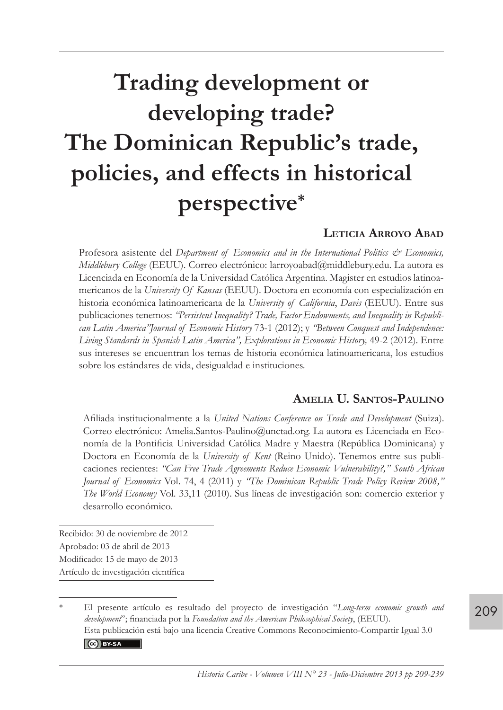# **Trading development or developing trade? The Dominican Republic's trade, policies, and effects in historical perspective\***

#### **Leticia Arroyo Abad**

Profesora asistente del *Department of Economics and in the International Politics & Economics*, *Middlebury College* (EEUU). Correo electrónico: larroyoabad@middlebury.edu. La autora es Licenciada en Economía de la Universidad Católica Argentina. Magister en estudios latinoamericanos de la *University Of Kansas* (EEUU). Doctora en economía con especialización en historia económica latinoamericana de la *University of California*, *Davis* (EEUU). Entre sus publicaciones tenemos: *"Persistent Inequality? Trade, Factor Endowments, and Inequality in Republican Latin America"Journal of Economic History* 73-1 (2012); y *"Between Conquest and Independence: Living Standards in Spanish Latin America", Explorations in Economic History,* 49-2 (2012). Entre sus intereses se encuentran los temas de historia económica latinoamericana, los estudios sobre los estándares de vida, desigualdad e instituciones.

#### **Amelia U. Santos-Paulino**

Afiliada institucionalmente a la *United Nations Conference on Trade and Development* (Suiza). Correo electrónico: Amelia.Santos-Paulino@unctad.org. La autora es Licenciada en Economía de la Pontificia Universidad Católica Madre y Maestra (República Dominicana) y Doctora en Economía de la *University of Kent* (Reino Unido). Tenemos entre sus publicaciones recientes: *"Can Free Trade Agreements Reduce Economic Vulnerability?," South African Journal of Economics* Vol. 74, 4 (2011) y *"The Dominican Republic Trade Policy Review 2008," The World Economy* Vol. 33,11 (2010). Sus líneas de investigación son: comercio exterior y desarrollo económico.

Recibido: 30 de noviembre de 2012 Aprobado: 03 de abril de 2013 Modificado: 15 de mayo de 2013 Artículo de investigación científica

<sup>\*</sup> El presente artículo es resultado del proyecto de investigación "*Long-term economic growth and development*"; financiada por la *Foundation and the American Philosophical Society*, (EEUU). Esta publicación está bajo una licencia Creative Commons Reconocimiento-Compartir Igual 3.0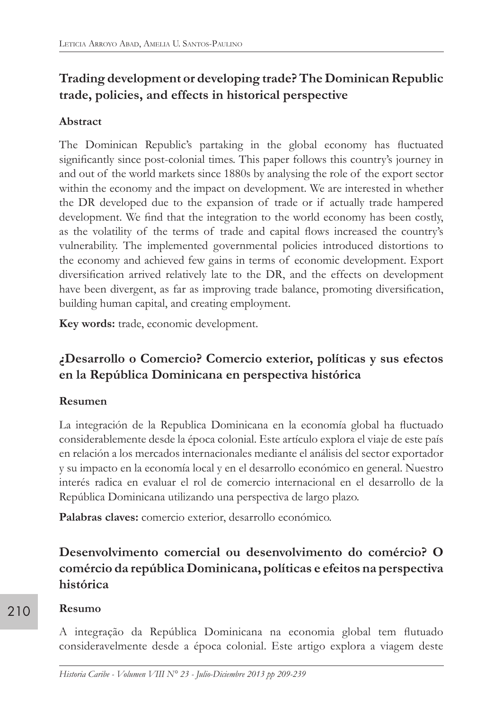## **Trading development or developing trade? The Dominican Republic trade, policies, and effects in historical perspective**

## **Abstract**

The Dominican Republic's partaking in the global economy has fluctuated significantly since post-colonial times. This paper follows this country's journey in and out of the world markets since 1880s by analysing the role of the export sector within the economy and the impact on development. We are interested in whether the DR developed due to the expansion of trade or if actually trade hampered development. We find that the integration to the world economy has been costly, as the volatility of the terms of trade and capital flows increased the country's vulnerability. The implemented governmental policies introduced distortions to the economy and achieved few gains in terms of economic development. Export diversification arrived relatively late to the DR, and the effects on development have been divergent, as far as improving trade balance, promoting diversification, building human capital, and creating employment.

**Key words:** trade, economic development.

## **¿Desarrollo o Comercio? Comercio exterior, políticas y sus efectos en la República Dominicana en perspectiva histórica**

## **Resumen**

La integración de la Republica Dominicana en la economía global ha fluctuado considerablemente desde la época colonial. Este artículo explora el viaje de este país en relación a los mercados internacionales mediante el análisis del sector exportador y su impacto en la economía local y en el desarrollo económico en general. Nuestro interés radica en evaluar el rol de comercio internacional en el desarrollo de la República Dominicana utilizando una perspectiva de largo plazo.

**Palabras claves:** comercio exterior, desarrollo económico.

# **Desenvolvimento comercial ou desenvolvimento do comércio? O comércio da república Dominicana, políticas e efeitos na perspectiva histórica**

## **Resumo**

A integração da República Dominicana na economia global tem flutuado consideravelmente desde a época colonial. Este artigo explora a viagem deste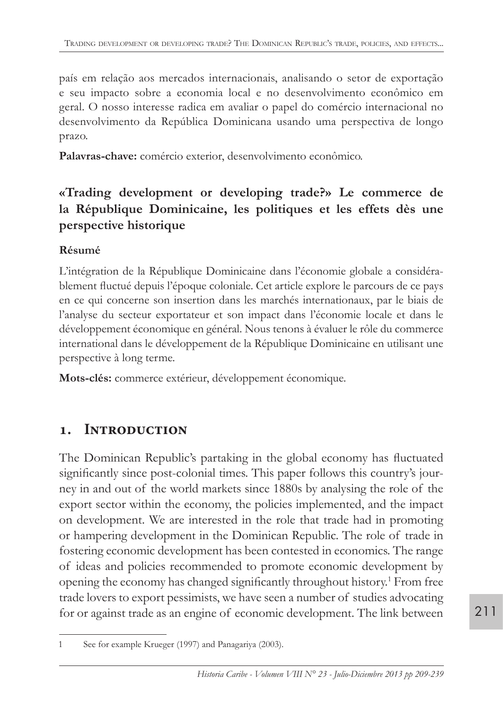país em relação aos mercados internacionais, analisando o setor de exportação e seu impacto sobre a economia local e no desenvolvimento econômico em geral. O nosso interesse radica em avaliar o papel do comércio internacional no desenvolvimento da República Dominicana usando uma perspectiva de longo prazo.

**Palavras-chave:** comércio exterior, desenvolvimento econômico.

## **«Trading development or developing trade?» Le commerce de la République Dominicaine, les politiques et les effets dès une perspective historique**

## **Résumé**

L'intégration de la République Dominicaine dans l'économie globale a considérablement fluctué depuis l'époque coloniale. Cet article explore le parcours de ce pays en ce qui concerne son insertion dans les marchés internationaux, par le biais de l'analyse du secteur exportateur et son impact dans l'économie locale et dans le développement économique en général. Nous tenons à évaluer le rôle du commerce international dans le développement de la République Dominicaine en utilisant une perspective à long terme.

**Mots-clés:** commerce extérieur, développement économique.

# **1. Introduction**

The Dominican Republic's partaking in the global economy has fluctuated significantly since post-colonial times. This paper follows this country's journey in and out of the world markets since 1880s by analysing the role of the export sector within the economy, the policies implemented, and the impact on development. We are interested in the role that trade had in promoting or hampering development in the Dominican Republic. The role of trade in fostering economic development has been contested in economics. The range of ideas and policies recommended to promote economic development by opening the economy has changed significantly throughout history.<sup>1</sup> From free trade lovers to export pessimists, we have seen a number of studies advocating for or against trade as an engine of economic development. The link between

<sup>1</sup> See for example Krueger (1997) and Panagariya (2003).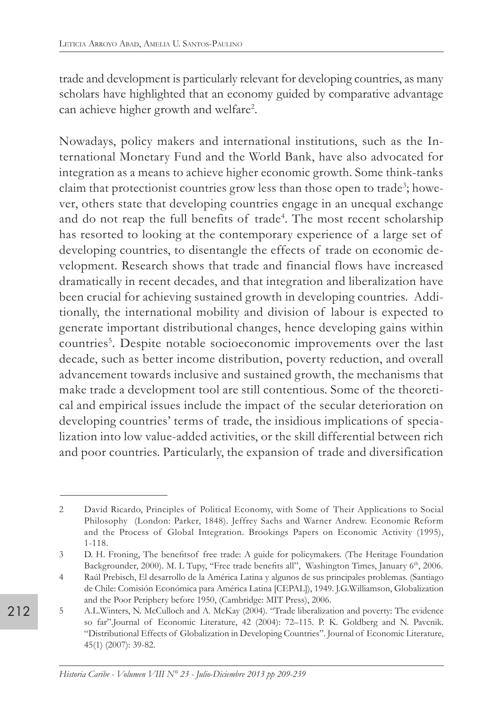trade and development is particularly relevant for developing countries, as many scholars have highlighted that an economy guided by comparative advantage can achieve higher growth and welfare<sup>2</sup>.

Nowadays, policy makers and international institutions, such as the International Monetary Fund and the World Bank, have also advocated for integration as a means to achieve higher economic growth. Some think-tanks claim that protectionist countries grow less than those open to trade<sup>3</sup>; however, others state that developing countries engage in an unequal exchange and do not reap the full benefits of trade<sup>4</sup>. The most recent scholarship has resorted to looking at the contemporary experience of a large set of developing countries, to disentangle the effects of trade on economic development. Research shows that trade and financial flows have increased dramatically in recent decades, and that integration and liberalization have been crucial for achieving sustained growth in developing countries. Additionally, the international mobility and division of labour is expected to generate important distributional changes, hence developing gains within countries<sup>5</sup>. Despite notable socioeconomic improvements over the last decade, such as better income distribution, poverty reduction, and overall advancement towards inclusive and sustained growth, the mechanisms that make trade a development tool are still contentious. Some of the theoretical and empirical issues include the impact of the secular deterioration on developing countries' terms of trade, the insidious implications of specialization into low value-added activities, or the skill differential between rich and poor countries. Particularly, the expansion of trade and diversification

<sup>2</sup> David Ricardo, Principles of Political Economy, with Some of Their Applications to Social Philosophy (London: Parker, 1848). Jeffrey Sachs and Warner Andrew. Economic Reform and the Process of Global Integration. Brookings Papers on Economic Activity (1995), 1-118.

<sup>3</sup> D. H. Froning, The benefitsof free trade: A guide for policymakers. (The Heritage Foundation Backgrounder, 2000). M. L Tupy, "Free trade benefits all", Washington Times, January 6th, 2006.

<sup>4</sup> Raúl Prebisch, El desarrollo de la América Latina y algunos de sus principales problemas. (Santiago de Chile: Comisión Económica para América Latina [CEPAL]), 1949. J.G.Williamson, Globalization and the Poor Periphery before 1950, (Cambridge: MIT Press), 2006.

<sup>5</sup> A.L.Winters, N. McCulloch and A. McKay (2004). "Trade liberalization and poverty: The evidence so far".Journal of Economic Literature, 42 (2004): 72–115. P. K. Goldberg and N. Pavcnik. "Distributional Effects of Globalization in Developing Countries". Journal of Economic Literature, 45(1) (2007): 39-82.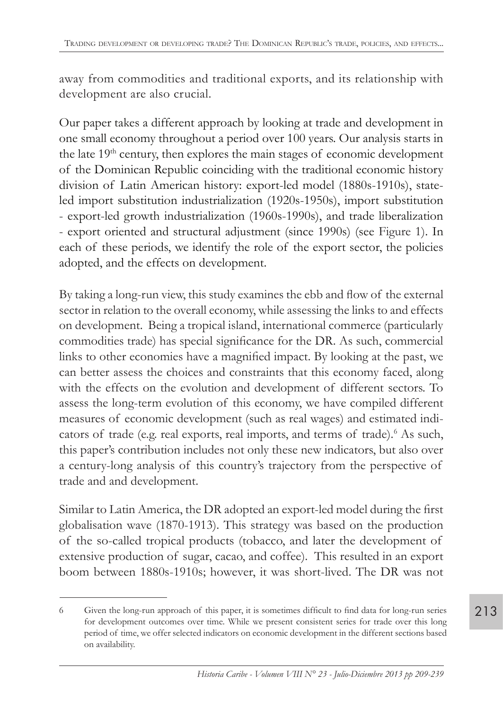away from commodities and traditional exports, and its relationship with development are also crucial.

Our paper takes a different approach by looking at trade and development in one small economy throughout a period over 100 years. Our analysis starts in the late 19<sup>th</sup> century, then explores the main stages of economic development of the Dominican Republic coinciding with the traditional economic history division of Latin American history: export-led model (1880s-1910s), stateled import substitution industrialization (1920s-1950s), import substitution - export-led growth industrialization (1960s-1990s), and trade liberalization - export oriented and structural adjustment (since 1990s) (see Figure 1). In each of these periods, we identify the role of the export sector, the policies adopted, and the effects on development.

By taking a long-run view, this study examines the ebb and flow of the external sector in relation to the overall economy, while assessing the links to and effects on development. Being a tropical island, international commerce (particularly commodities trade) has special significance for the DR. As such, commercial links to other economies have a magnified impact. By looking at the past, we can better assess the choices and constraints that this economy faced, along with the effects on the evolution and development of different sectors. To assess the long-term evolution of this economy, we have compiled different measures of economic development (such as real wages) and estimated indicators of trade (e.g. real exports, real imports, and terms of trade).<sup>6</sup> As such, this paper's contribution includes not only these new indicators, but also over a century-long analysis of this country's trajectory from the perspective of trade and and development.

Similar to Latin America, the DR adopted an export-led model during the first globalisation wave (1870-1913). This strategy was based on the production of the so-called tropical products (tobacco, and later the development of extensive production of sugar, cacao, and coffee). This resulted in an export boom between 1880s-1910s; however, it was short-lived. The DR was not

<sup>6</sup> Given the long-run approach of this paper, it is sometimes difficult to find data for long-run series for development outcomes over time. While we present consistent series for trade over this long period of time, we offer selected indicators on economic development in the different sections based on availability.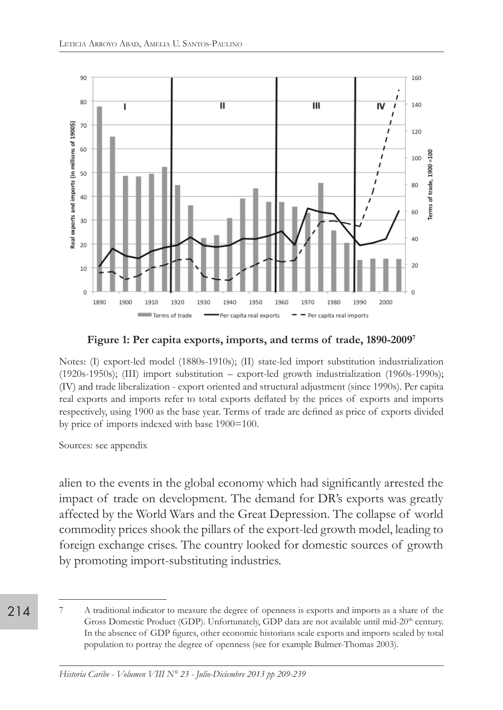

**Figure 1: Per capita exports, imports, and terms of trade, 1890-20097**

Notes: (I) export-led model (1880s-1910s); (II) state-led import substitution industrialization (1920s-1950s); (III) import substitution – export-led growth industrialization (1960s-1990s); (IV) and trade liberalization - export oriented and structural adjustment (since 1990s). Per capita real exports and imports refer to total exports deflated by the prices of exports and imports respectively, using 1900 as the base year. Terms of trade are defined as price of exports divided by price of imports indexed with base 1900=100.

Sources: see appendix

alien to the events in the global economy which had significantly arrested the impact of trade on development. The demand for DR's exports was greatly affected by the World Wars and the Great Depression. The collapse of world commodity prices shook the pillars of the export-led growth model, leading to foreign exchange crises. The country looked for domestic sources of growth by promoting import-substituting industries.

<sup>214</sup>

<sup>7</sup> A traditional indicator to measure the degree of openness is exports and imports as a share of the Gross Domestic Product (GDP). Unfortunately, GDP data are not available until mid-20<sup>th</sup> century. In the absence of GDP figures, other economic historians scale exports and imports scaled by total population to portray the degree of openness (see for example Bulmer-Thomas 2003).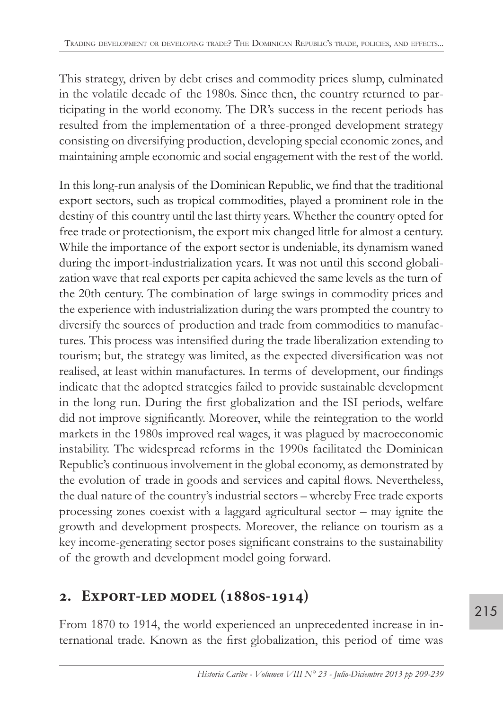This strategy, driven by debt crises and commodity prices slump, culminated in the volatile decade of the 1980s. Since then, the country returned to participating in the world economy. The DR's success in the recent periods has resulted from the implementation of a three-pronged development strategy consisting on diversifying production, developing special economic zones, and maintaining ample economic and social engagement with the rest of the world.

In this long-run analysis of the Dominican Republic, we find that the traditional export sectors, such as tropical commodities, played a prominent role in the destiny of this country until the last thirty years. Whether the country opted for free trade or protectionism, the export mix changed little for almost a century. While the importance of the export sector is undeniable, its dynamism waned during the import-industrialization years. It was not until this second globalization wave that real exports per capita achieved the same levels as the turn of the 20th century. The combination of large swings in commodity prices and the experience with industrialization during the wars prompted the country to diversify the sources of production and trade from commodities to manufactures. This process was intensified during the trade liberalization extending to tourism; but, the strategy was limited, as the expected diversification was not realised, at least within manufactures. In terms of development, our findings indicate that the adopted strategies failed to provide sustainable development in the long run. During the first globalization and the ISI periods, welfare did not improve significantly. Moreover, while the reintegration to the world markets in the 1980s improved real wages, it was plagued by macroeconomic instability. The widespread reforms in the 1990s facilitated the Dominican Republic's continuous involvement in the global economy, as demonstrated by the evolution of trade in goods and services and capital flows. Nevertheless, the dual nature of the country's industrial sectors – whereby Free trade exports processing zones coexist with a laggard agricultural sector – may ignite the growth and development prospects. Moreover, the reliance on tourism as a key income-generating sector poses significant constrains to the sustainability of the growth and development model going forward.

# **2. Export-led model (1880s-1914)**

From 1870 to 1914, the world experienced an unprecedented increase in international trade. Known as the first globalization, this period of time was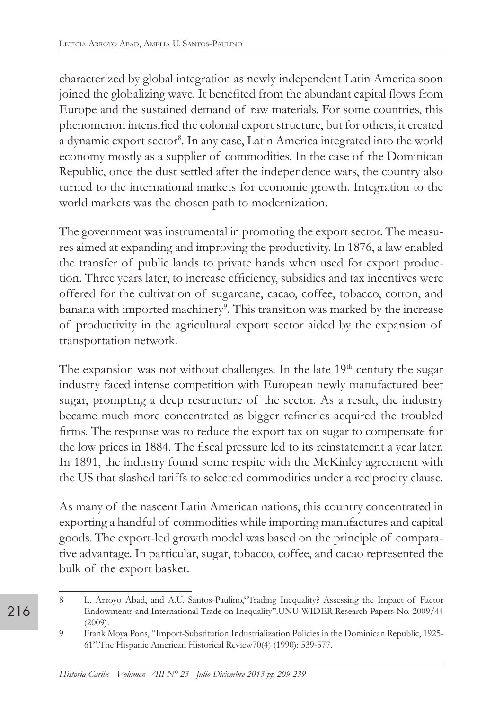characterized by global integration as newly independent Latin America soon joined the globalizing wave. It benefited from the abundant capital flows from Europe and the sustained demand of raw materials. For some countries, this phenomenon intensified the colonial export structure, but for others, it created a dynamic export sector<sup>8</sup>. In any case, Latin America integrated into the world economy mostly as a supplier of commodities. In the case of the Dominican Republic, once the dust settled after the independence wars, the country also turned to the international markets for economic growth. Integration to the world markets was the chosen path to modernization.

The government was instrumental in promoting the export sector. The measures aimed at expanding and improving the productivity. In 1876, a law enabled the transfer of public lands to private hands when used for export production. Three years later, to increase efficiency, subsidies and tax incentives were offered for the cultivation of sugarcane, cacao, coffee, tobacco, cotton, and banana with imported machinery<sup>9</sup>. This transition was marked by the increase of productivity in the agricultural export sector aided by the expansion of transportation network.

The expansion was not without challenges. In the late  $19<sup>th</sup>$  century the sugar industry faced intense competition with European newly manufactured beet sugar, prompting a deep restructure of the sector. As a result, the industry became much more concentrated as bigger refineries acquired the troubled firms. The response was to reduce the export tax on sugar to compensate for the low prices in 1884. The fiscal pressure led to its reinstatement a year later. In 1891, the industry found some respite with the McKinley agreement with the US that slashed tariffs to selected commodities under a reciprocity clause.

As many of the nascent Latin American nations, this country concentrated in exporting a handful of commodities while importing manufactures and capital goods. The export-led growth model was based on the principle of comparative advantage. In particular, sugar, tobacco, coffee, and cacao represented the bulk of the export basket.

<sup>8</sup> L. Arroyo Abad, and A.U. Santos-Paulino,"Trading Inequality? Assessing the Impact of Factor Endowments and International Trade on Inequality".UNU-WIDER Research Papers No. 2009/44 (2009).

<sup>9</sup> Frank Moya Pons, "Import-Substitution Industrialization Policies in the Dominican Republic, 1925- 61".The Hispanic American Historical Review70(4) (1990): 539-577.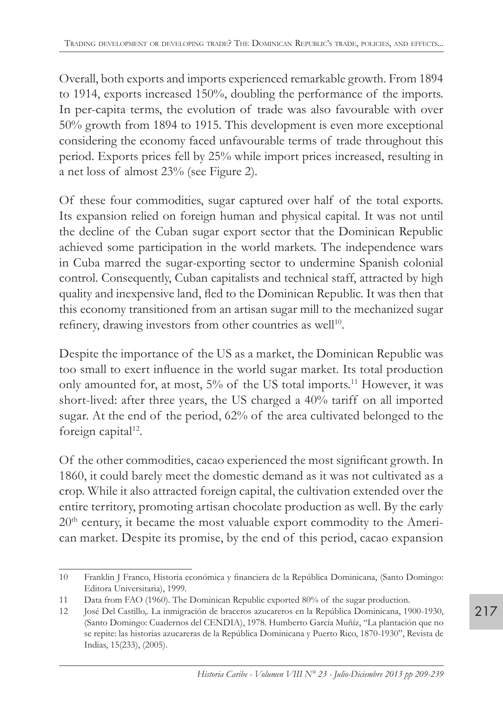Overall, both exports and imports experienced remarkable growth. From 1894 to 1914, exports increased 150%, doubling the performance of the imports. In per-capita terms, the evolution of trade was also favourable with over 50% growth from 1894 to 1915. This development is even more exceptional considering the economy faced unfavourable terms of trade throughout this period. Exports prices fell by 25% while import prices increased, resulting in a net loss of almost 23% (see Figure 2).

Of these four commodities, sugar captured over half of the total exports. Its expansion relied on foreign human and physical capital. It was not until the decline of the Cuban sugar export sector that the Dominican Republic achieved some participation in the world markets. The independence wars in Cuba marred the sugar-exporting sector to undermine Spanish colonial control. Consequently, Cuban capitalists and technical staff, attracted by high quality and inexpensive land, fled to the Dominican Republic. It was then that this economy transitioned from an artisan sugar mill to the mechanized sugar refinery, drawing investors from other countries as well<sup>10</sup>.

Despite the importance of the US as a market, the Dominican Republic was too small to exert influence in the world sugar market. Its total production only amounted for, at most, 5% of the US total imports.<sup>11</sup> However, it was short-lived: after three years, the US charged a 40% tariff on all imported sugar. At the end of the period, 62% of the area cultivated belonged to the foreign capital<sup>12</sup>.

Of the other commodities, cacao experienced the most significant growth. In 1860, it could barely meet the domestic demand as it was not cultivated as a crop. While it also attracted foreign capital, the cultivation extended over the entire territory, promoting artisan chocolate production as well. By the early 20<sup>th</sup> century, it became the most valuable export commodity to the American market. Despite its promise, by the end of this period, cacao expansion

<sup>10</sup> Franklin J Franco, Historia económica y financiera de la República Dominicana, (Santo Domingo: Editora Universitaria), 1999.

<sup>11</sup> Data from FAO (1960). The Dominican Republic exported 80% of the sugar production.

<sup>12</sup> José Del Castillo,. La inmigración de braceros azucareros en la República Dominicana, 1900-1930, (Santo Domingo: Cuadernos del CENDIA), 1978. Humberto García Muñíz, "La plantación que no se repite: las historias azucareras de la República Dominicana y Puerto Rico, 1870-1930", Revista de Indias, 15(233), (2005).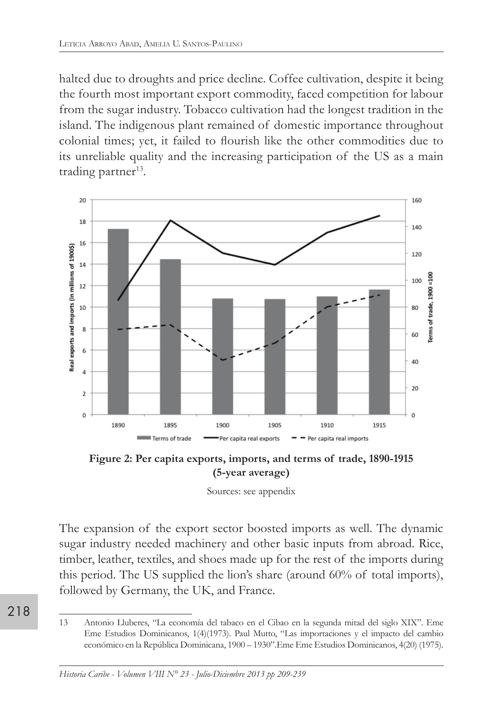halted due to droughts and price decline. Coffee cultivation, despite it being the fourth most important export commodity, faced competition for labour from the sugar industry. Tobacco cultivation had the longest tradition in the island. The indigenous plant remained of domestic importance throughout colonial times; yet, it failed to flourish like the other commodities due to its unreliable quality and the increasing participation of the US as a main trading partner<sup>13</sup>.



**Figure 2: Per capita exports, imports, and terms of trade, 1890-1915 (5-year average)**

Sources: see appendix

The expansion of the export sector boosted imports as well. The dynamic sugar industry needed machinery and other basic inputs from abroad. Rice, timber, leather, textiles, and shoes made up for the rest of the imports during this period. The US supplied the lion's share (around 60% of total imports), followed by Germany, the UK, and France.

218

<sup>13</sup> Antonio Lluberes, "La economía del tabaco en el Cibao en la segunda mitad del siglo XIX". Eme Eme Estudios Dominicanos, 1(4)(1973). Paul Mutto, "Las importaciones y el impacto del cambio económico en la República Dominicana, 1900 – 1930".Eme Eme Estudios Dominicanos, 4(20) (1975).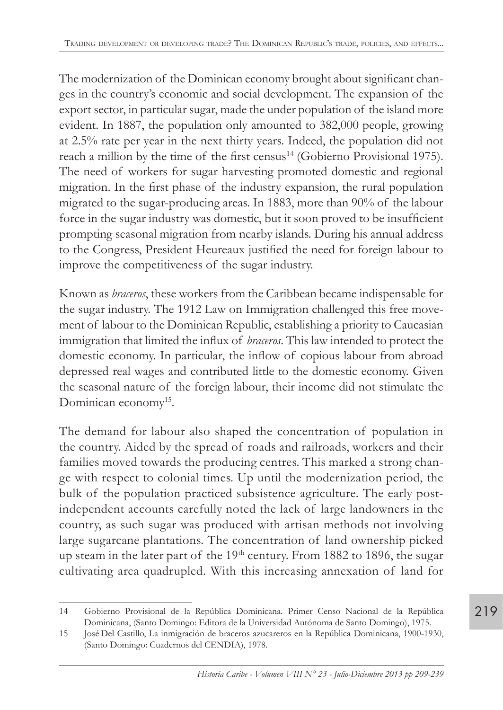The modernization of the Dominican economy brought about significant changes in the country's economic and social development. The expansion of the export sector, in particular sugar, made the under population of the island more evident. In 1887, the population only amounted to 382,000 people, growing at 2.5% rate per year in the next thirty years. Indeed, the population did not reach a million by the time of the first census<sup>14</sup> (Gobierno Provisional 1975). The need of workers for sugar harvesting promoted domestic and regional migration. In the first phase of the industry expansion, the rural population migrated to the sugar-producing areas. In 1883, more than 90% of the labour force in the sugar industry was domestic, but it soon proved to be insufficient prompting seasonal migration from nearby islands. During his annual address to the Congress, President Heureaux justified the need for foreign labour to improve the competitiveness of the sugar industry.

Known as *braceros*, these workers from the Caribbean became indispensable for the sugar industry. The 1912 Law on Immigration challenged this free movement of labour to the Dominican Republic, establishing a priority to Caucasian immigration that limited the influx of *braceros*. This law intended to protect the domestic economy. In particular, the inflow of copious labour from abroad depressed real wages and contributed little to the domestic economy. Given the seasonal nature of the foreign labour, their income did not stimulate the Dominican economy<sup>15</sup>.

The demand for labour also shaped the concentration of population in the country. Aided by the spread of roads and railroads, workers and their families moved towards the producing centres. This marked a strong change with respect to colonial times. Up until the modernization period, the bulk of the population practiced subsistence agriculture. The early postindependent accounts carefully noted the lack of large landowners in the country, as such sugar was produced with artisan methods not involving large sugarcane plantations. The concentration of land ownership picked up steam in the later part of the 19<sup>th</sup> century. From 1882 to 1896, the sugar cultivating area quadrupled. With this increasing annexation of land for

<sup>14</sup> Gobierno Provisional de la República Dominicana. Primer Censo Nacional de la República Dominicana, (Santo Domingo: Editora de la Universidad Autónoma de Santo Domingo), 1975.

<sup>15</sup> José Del Castillo, La inmigración de braceros azucareros en la República Dominicana, 1900-1930, (Santo Domingo: Cuadernos del CENDIA), 1978.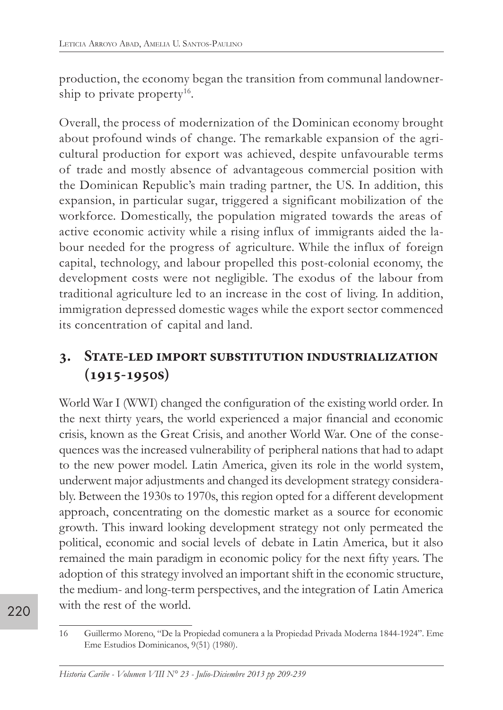production, the economy began the transition from communal landownership to private property<sup>16</sup>.

Overall, the process of modernization of the Dominican economy brought about profound winds of change. The remarkable expansion of the agricultural production for export was achieved, despite unfavourable terms of trade and mostly absence of advantageous commercial position with the Dominican Republic's main trading partner, the US. In addition, this expansion, in particular sugar, triggered a significant mobilization of the workforce. Domestically, the population migrated towards the areas of active economic activity while a rising influx of immigrants aided the labour needed for the progress of agriculture. While the influx of foreign capital, technology, and labour propelled this post-colonial economy, the development costs were not negligible. The exodus of the labour from traditional agriculture led to an increase in the cost of living. In addition, immigration depressed domestic wages while the export sector commenced its concentration of capital and land.

# **3. State-led import substitution industrialization (1915-1950s)**

World War I (WWI) changed the configuration of the existing world order. In the next thirty years, the world experienced a major financial and economic crisis, known as the Great Crisis, and another World War. One of the consequences was the increased vulnerability of peripheral nations that had to adapt to the new power model. Latin America, given its role in the world system, underwent major adjustments and changed its development strategy considerably. Between the 1930s to 1970s, this region opted for a different development approach, concentrating on the domestic market as a source for economic growth. This inward looking development strategy not only permeated the political, economic and social levels of debate in Latin America, but it also remained the main paradigm in economic policy for the next fifty years. The adoption of this strategy involved an important shift in the economic structure, the medium- and long-term perspectives, and the integration of Latin America with the rest of the world.

<sup>16</sup> Guillermo Moreno, "De la Propiedad comunera a la Propiedad Privada Moderna 1844-1924". Eme Eme Estudios Dominicanos, 9(51) (1980).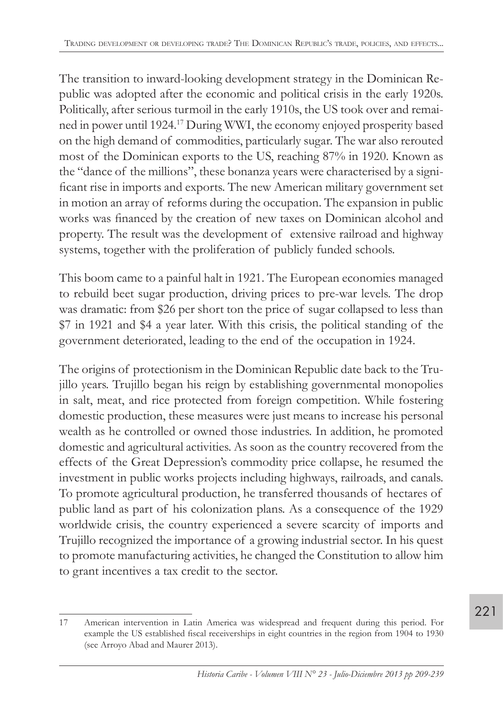The transition to inward-looking development strategy in the Dominican Republic was adopted after the economic and political crisis in the early 1920s. Politically, after serious turmoil in the early 1910s, the US took over and remained in power until 1924.<sup>17</sup> During WWI, the economy enjoyed prosperity based on the high demand of commodities, particularly sugar. The war also rerouted most of the Dominican exports to the US, reaching 87% in 1920. Known as the "dance of the millions", these bonanza years were characterised by a significant rise in imports and exports. The new American military government set in motion an array of reforms during the occupation. The expansion in public works was financed by the creation of new taxes on Dominican alcohol and property. The result was the development of extensive railroad and highway systems, together with the proliferation of publicly funded schools.

This boom came to a painful halt in 1921. The European economies managed to rebuild beet sugar production, driving prices to pre-war levels. The drop was dramatic: from \$26 per short ton the price of sugar collapsed to less than \$7 in 1921 and \$4 a year later. With this crisis, the political standing of the government deteriorated, leading to the end of the occupation in 1924.

The origins of protectionism in the Dominican Republic date back to the Trujillo years. Trujillo began his reign by establishing governmental monopolies in salt, meat, and rice protected from foreign competition. While fostering domestic production, these measures were just means to increase his personal wealth as he controlled or owned those industries. In addition, he promoted domestic and agricultural activities. As soon as the country recovered from the effects of the Great Depression's commodity price collapse, he resumed the investment in public works projects including highways, railroads, and canals. To promote agricultural production, he transferred thousands of hectares of public land as part of his colonization plans. As a consequence of the 1929 worldwide crisis, the country experienced a severe scarcity of imports and Trujillo recognized the importance of a growing industrial sector. In his quest to promote manufacturing activities, he changed the Constitution to allow him to grant incentives a tax credit to the sector.

<sup>17</sup> American intervention in Latin America was widespread and frequent during this period. For example the US established fiscal receiverships in eight countries in the region from 1904 to 1930 (see Arroyo Abad and Maurer 2013).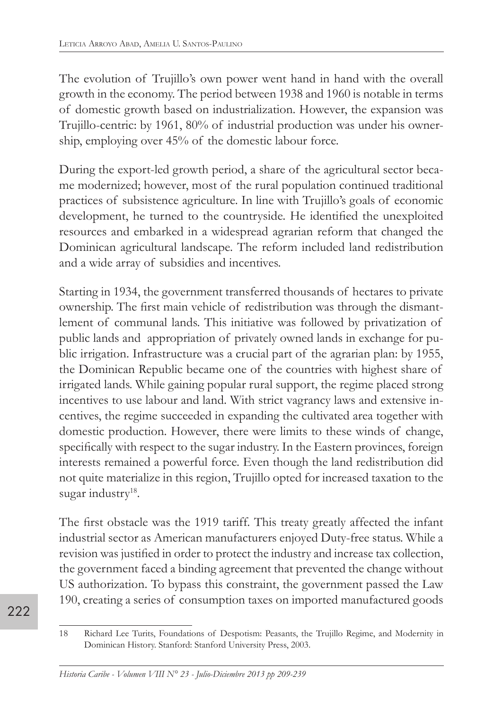The evolution of Trujillo's own power went hand in hand with the overall growth in the economy. The period between 1938 and 1960 is notable in terms of domestic growth based on industrialization. However, the expansion was Trujillo-centric: by 1961, 80% of industrial production was under his ownership, employing over 45% of the domestic labour force.

During the export-led growth period, a share of the agricultural sector became modernized; however, most of the rural population continued traditional practices of subsistence agriculture. In line with Trujillo's goals of economic development, he turned to the countryside. He identified the unexploited resources and embarked in a widespread agrarian reform that changed the Dominican agricultural landscape. The reform included land redistribution and a wide array of subsidies and incentives.

Starting in 1934, the government transferred thousands of hectares to private ownership. The first main vehicle of redistribution was through the dismantlement of communal lands. This initiative was followed by privatization of public lands and appropriation of privately owned lands in exchange for public irrigation. Infrastructure was a crucial part of the agrarian plan: by 1955, the Dominican Republic became one of the countries with highest share of irrigated lands. While gaining popular rural support, the regime placed strong incentives to use labour and land. With strict vagrancy laws and extensive incentives, the regime succeeded in expanding the cultivated area together with domestic production. However, there were limits to these winds of change, specifically with respect to the sugar industry. In the Eastern provinces, foreign interests remained a powerful force. Even though the land redistribution did not quite materialize in this region, Trujillo opted for increased taxation to the sugar industry<sup>18</sup>.

The first obstacle was the 1919 tariff. This treaty greatly affected the infant industrial sector as American manufacturers enjoyed Duty-free status. While a revision was justified in order to protect the industry and increase tax collection, the government faced a binding agreement that prevented the change without US authorization. To bypass this constraint, the government passed the Law 190, creating a series of consumption taxes on imported manufactured goods

<sup>18</sup> Richard Lee Turits, Foundations of Despotism: Peasants, the Trujillo Regime, and Modernity in Dominican History. Stanford: Stanford University Press, 2003.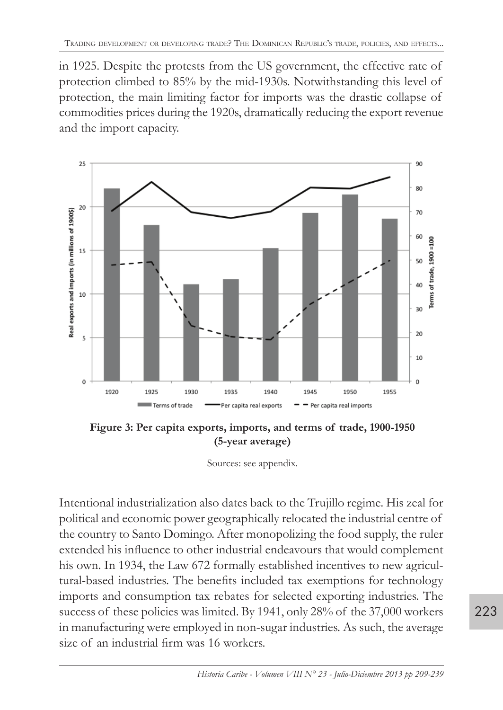in 1925. Despite the protests from the US government, the effective rate of protection climbed to 85% by the mid-1930s. Notwithstanding this level of protection, the main limiting factor for imports was the drastic collapse of commodities prices during the 1920s, dramatically reducing the export revenue and the import capacity.



Figure 3: Per capita exports, imports, and terms of trade, 1900-1950 **(5-year average)**

Intentional industrialization also dates back to the Trujillo regime. His zeal for political and economic power geographically relocated the industrial centre of the country to Santo Domingo. After monopolizing the food supply, the ruler extended his influence to other industrial endeavours that would complement his own. In 1934, the Law 672 formally established incentives to new agricultural-based industries. The benefits included tax exemptions for technology imports and consumption tax rebates for selected exporting industries. The success of these policies was limited. By 1941, only 28% of the 37,000 workers in manufacturing were employed in non-sugar industries. As such, the average size of an industrial firm was 16 workers.

Sources: see appendix.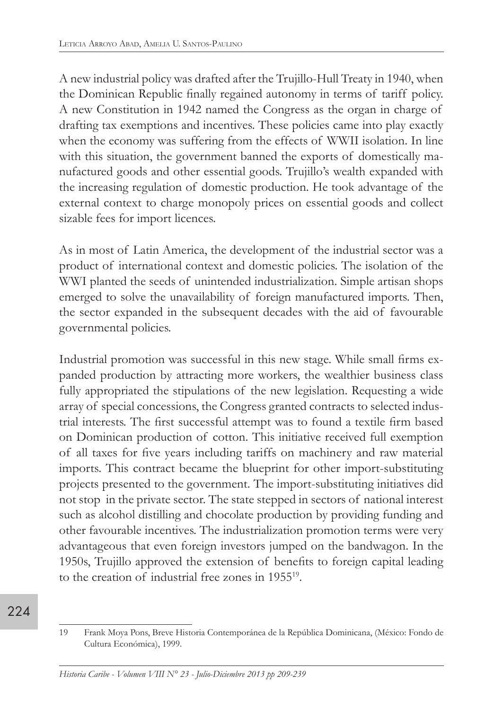A new industrial policy was drafted after the Trujillo-Hull Treaty in 1940, when the Dominican Republic finally regained autonomy in terms of tariff policy. A new Constitution in 1942 named the Congress as the organ in charge of drafting tax exemptions and incentives. These policies came into play exactly when the economy was suffering from the effects of WWII isolation. In line with this situation, the government banned the exports of domestically manufactured goods and other essential goods. Trujillo's wealth expanded with the increasing regulation of domestic production. He took advantage of the external context to charge monopoly prices on essential goods and collect sizable fees for import licences.

As in most of Latin America, the development of the industrial sector was a product of international context and domestic policies. The isolation of the WWI planted the seeds of unintended industrialization. Simple artisan shops emerged to solve the unavailability of foreign manufactured imports. Then, the sector expanded in the subsequent decades with the aid of favourable governmental policies.

Industrial promotion was successful in this new stage. While small firms expanded production by attracting more workers, the wealthier business class fully appropriated the stipulations of the new legislation. Requesting a wide array of special concessions, the Congress granted contracts to selected industrial interests. The first successful attempt was to found a textile firm based on Dominican production of cotton. This initiative received full exemption of all taxes for five years including tariffs on machinery and raw material imports. This contract became the blueprint for other import-substituting projects presented to the government. The import-substituting initiatives did not stop in the private sector. The state stepped in sectors of national interest such as alcohol distilling and chocolate production by providing funding and other favourable incentives. The industrialization promotion terms were very advantageous that even foreign investors jumped on the bandwagon. In the 1950s, Trujillo approved the extension of benefits to foreign capital leading to the creation of industrial free zones in 195519.

<sup>224</sup>

<sup>19</sup> Frank Moya Pons, Breve Historia Contemporánea de la República Dominicana, (México: Fondo de Cultura Económica), 1999.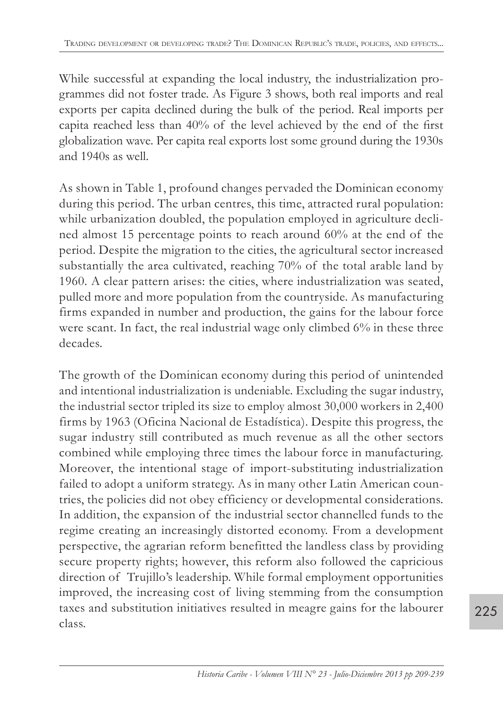While successful at expanding the local industry, the industrialization programmes did not foster trade. As Figure 3 shows, both real imports and real exports per capita declined during the bulk of the period. Real imports per capita reached less than 40% of the level achieved by the end of the first globalization wave. Per capita real exports lost some ground during the 1930s and 1940s as well.

As shown in Table 1, profound changes pervaded the Dominican economy during this period. The urban centres, this time, attracted rural population: while urbanization doubled, the population employed in agriculture declined almost 15 percentage points to reach around 60% at the end of the period. Despite the migration to the cities, the agricultural sector increased substantially the area cultivated, reaching 70% of the total arable land by 1960. A clear pattern arises: the cities, where industrialization was seated, pulled more and more population from the countryside. As manufacturing firms expanded in number and production, the gains for the labour force were scant. In fact, the real industrial wage only climbed 6% in these three decades.

The growth of the Dominican economy during this period of unintended and intentional industrialization is undeniable. Excluding the sugar industry, the industrial sector tripled its size to employ almost 30,000 workers in 2,400 firms by 1963 (Oficina Nacional de Estadística). Despite this progress, the sugar industry still contributed as much revenue as all the other sectors combined while employing three times the labour force in manufacturing. Moreover, the intentional stage of import-substituting industrialization failed to adopt a uniform strategy. As in many other Latin American countries, the policies did not obey efficiency or developmental considerations. In addition, the expansion of the industrial sector channelled funds to the regime creating an increasingly distorted economy. From a development perspective, the agrarian reform benefitted the landless class by providing secure property rights; however, this reform also followed the capricious direction of Trujillo's leadership. While formal employment opportunities improved, the increasing cost of living stemming from the consumption taxes and substitution initiatives resulted in meagre gains for the labourer class.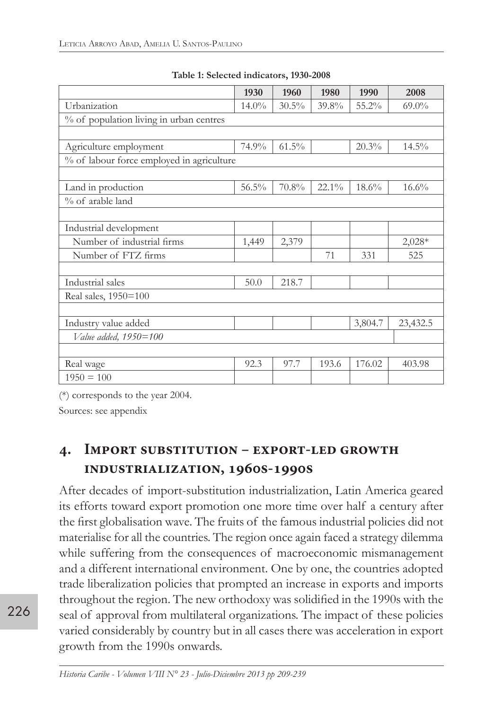|                                           | 1930     | 1960     | 1980     | 1990    | 2008     |
|-------------------------------------------|----------|----------|----------|---------|----------|
| Urbanization                              | $14.0\%$ | $30.5\%$ | 39.8%    | 55.2%   | $69.0\%$ |
| % of population living in urban centres   |          |          |          |         |          |
|                                           |          |          |          |         |          |
| Agriculture employment                    | 74.9%    | $61.5\%$ |          | 20.3%   | $14.5\%$ |
| % of labour force employed in agriculture |          |          |          |         |          |
|                                           |          |          |          |         |          |
| Land in production                        | $56.5\%$ | 70.8%    | $22.1\%$ | 18.6%   | 16.6%    |
| % of arable land                          |          |          |          |         |          |
|                                           |          |          |          |         |          |
| Industrial development                    |          |          |          |         |          |
| Number of industrial firms                | 1,449    | 2,379    |          |         | $2,028*$ |
| Number of FTZ firms                       |          |          | 71       | 331     | 525      |
|                                           |          |          |          |         |          |
| Industrial sales                          | 50.0     | 218.7    |          |         |          |
| Real sales, 1950=100                      |          |          |          |         |          |
|                                           |          |          |          |         |          |
| Industry value added                      |          |          |          | 3,804.7 | 23,432.5 |
| Value added, 1950=100                     |          |          |          |         |          |
|                                           |          |          |          |         |          |
| Real wage                                 | 92.3     | 97.7     | 193.6    | 176.02  | 403.98   |
| $1950 = 100$                              |          |          |          |         |          |

**Table 1: Selected indicators, 1930-2008**

(\*) corresponds to the year 2004.

Sources: see appendix

# **4. Import substitution – export-led growth industrialization, 1960s-1990s**

After decades of import-substitution industrialization, Latin America geared its efforts toward export promotion one more time over half a century after the first globalisation wave. The fruits of the famous industrial policies did not materialise for all the countries. The region once again faced a strategy dilemma while suffering from the consequences of macroeconomic mismanagement and a different international environment. One by one, the countries adopted trade liberalization policies that prompted an increase in exports and imports throughout the region. The new orthodoxy was solidified in the 1990s with the seal of approval from multilateral organizations. The impact of these policies varied considerably by country but in all cases there was acceleration in export growth from the 1990s onwards.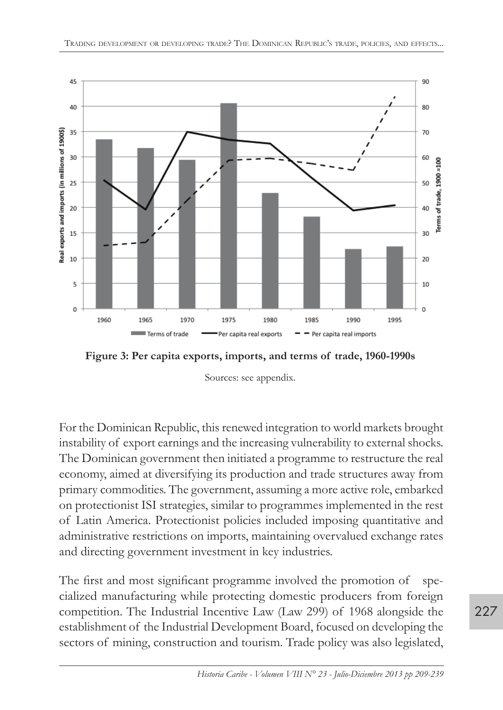

**Figure 3: Per capita exports, imports, and terms of trade, 1960-1990s**

Sources: see appendix.

 For the Dominican Republic, this renewed integration to world markets brought instability of export earnings and the increasing vulnerability to external shocks. The Dominican government then initiated a programme to restructure the real economy, aimed at diversifying its production and trade structures away from primary commodities. The government, assuming a more active role, embarked on protectionist ISI strategies, similar to programmes implemented in the rest of Latin America. Protectionist policies included imposing quantitative and administrative restrictions on imports, maintaining overvalued exchange rates and directing government investment in key industries.

The first and most significant programme involved the promotion of specialized manufacturing while protecting domestic producers from foreign competition. The Industrial Incentive Law (Law 299) of 1968 alongside the establishment of the Industrial Development Board, focused on developing the sectors of mining, construction and tourism. Trade policy was also legislated,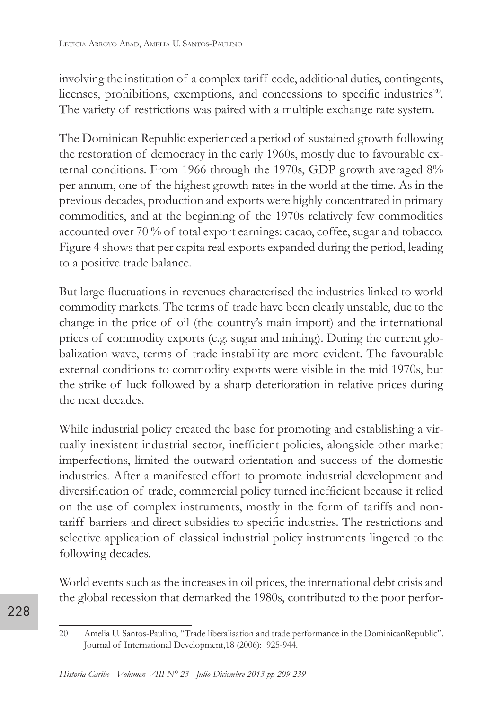involving the institution of a complex tariff code, additional duties, contingents, licenses, prohibitions, exemptions, and concessions to specific industries<sup>20</sup>. The variety of restrictions was paired with a multiple exchange rate system.

The Dominican Republic experienced a period of sustained growth following the restoration of democracy in the early 1960s, mostly due to favourable external conditions. From 1966 through the 1970s, GDP growth averaged 8% per annum, one of the highest growth rates in the world at the time. As in the previous decades, production and exports were highly concentrated in primary commodities, and at the beginning of the 1970s relatively few commodities accounted over 70 % of total export earnings: cacao, coffee, sugar and tobacco. Figure 4 shows that per capita real exports expanded during the period, leading to a positive trade balance.

But large fluctuations in revenues characterised the industries linked to world commodity markets. The terms of trade have been clearly unstable, due to the change in the price of oil (the country's main import) and the international prices of commodity exports (e.g. sugar and mining). During the current globalization wave, terms of trade instability are more evident. The favourable external conditions to commodity exports were visible in the mid 1970s, but the strike of luck followed by a sharp deterioration in relative prices during the next decades.

While industrial policy created the base for promoting and establishing a virtually inexistent industrial sector, inefficient policies, alongside other market imperfections, limited the outward orientation and success of the domestic industries. After a manifested effort to promote industrial development and diversification of trade, commercial policy turned inefficient because it relied on the use of complex instruments, mostly in the form of tariffs and nontariff barriers and direct subsidies to specific industries. The restrictions and selective application of classical industrial policy instruments lingered to the following decades.

World events such as the increases in oil prices, the international debt crisis and the global recession that demarked the 1980s, contributed to the poor perfor-

<sup>20</sup> Amelia U. Santos-Paulino, "Trade liberalisation and trade performance in the DominicanRepublic". Journal of International Development,18 (2006): 925-944.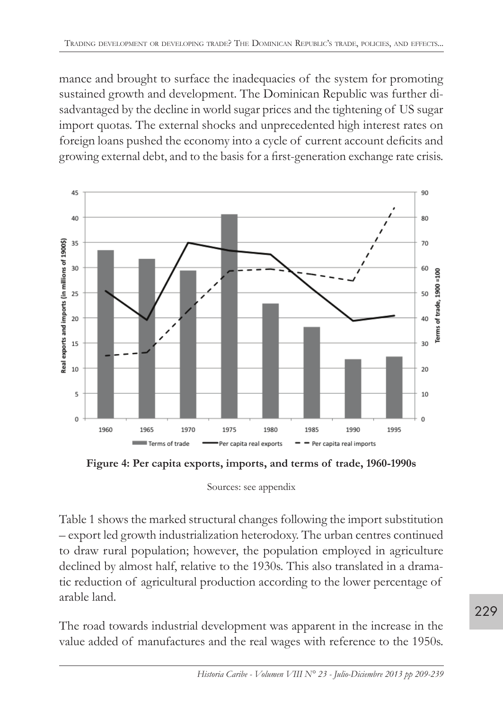mance and brought to surface the inadequacies of the system for promoting sustained growth and development. The Dominican Republic was further disadvantaged by the decline in world sugar prices and the tightening of US sugar import quotas. The external shocks and unprecedented high interest rates on foreign loans pushed the economy into a cycle of current account deficits and growing external debt, and to the basis for a first-generation exchange rate crisis.



**Figure 4: Per capita exports, imports, and terms of trade, 1960-1990s**

Sources: see appendix

Table 1 shows the marked structural changes following the import substitution – export led growth industrialization heterodoxy. The urban centres continued to draw rural population; however, the population employed in agriculture declined by almost half, relative to the 1930s. This also translated in a dramatic reduction of agricultural production according to the lower percentage of arable land.

The road towards industrial development was apparent in the increase in the value added of manufactures and the real wages with reference to the 1950s.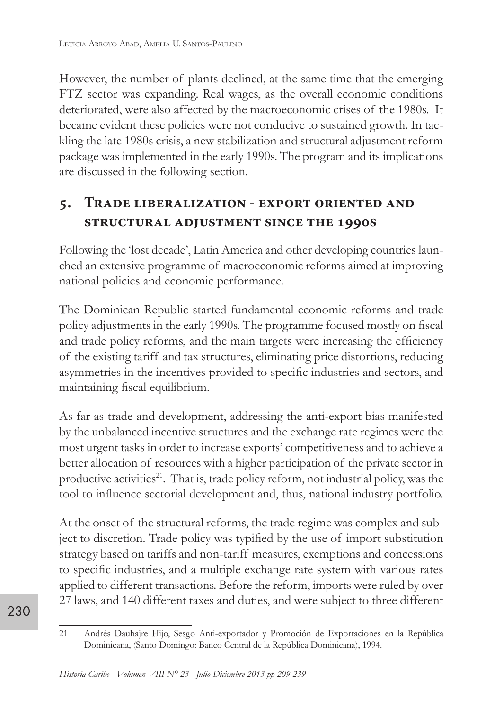However, the number of plants declined, at the same time that the emerging FTZ sector was expanding. Real wages, as the overall economic conditions deteriorated, were also affected by the macroeconomic crises of the 1980s. It became evident these policies were not conducive to sustained growth. In tackling the late 1980s crisis, a new stabilization and structural adjustment reform package was implemented in the early 1990s. The program and its implications are discussed in the following section.

# **5. Trade liberalization - export oriented and structural adjustment since the 1990s**

Following the 'lost decade', Latin America and other developing countries launched an extensive programme of macroeconomic reforms aimed at improving national policies and economic performance.

The Dominican Republic started fundamental economic reforms and trade policy adjustments in the early 1990s. The programme focused mostly on fiscal and trade policy reforms, and the main targets were increasing the efficiency of the existing tariff and tax structures, eliminating price distortions, reducing asymmetries in the incentives provided to specific industries and sectors, and maintaining fiscal equilibrium.

As far as trade and development, addressing the anti-export bias manifested by the unbalanced incentive structures and the exchange rate regimes were the most urgent tasks in order to increase exports' competitiveness and to achieve a better allocation of resources with a higher participation of the private sector in productive activities<sup>21</sup>. That is, trade policy reform, not industrial policy, was the tool to influence sectorial development and, thus, national industry portfolio.

At the onset of the structural reforms, the trade regime was complex and subject to discretion. Trade policy was typified by the use of import substitution strategy based on tariffs and non-tariff measures, exemptions and concessions to specific industries, and a multiple exchange rate system with various rates applied to different transactions. Before the reform, imports were ruled by over 27 laws, and 140 different taxes and duties, and were subject to three different

<sup>21</sup> Andrés Dauhajre Hijo, Sesgo Anti-exportador y Promoción de Exportaciones en la República Dominicana, (Santo Domingo: Banco Central de la República Dominicana), 1994.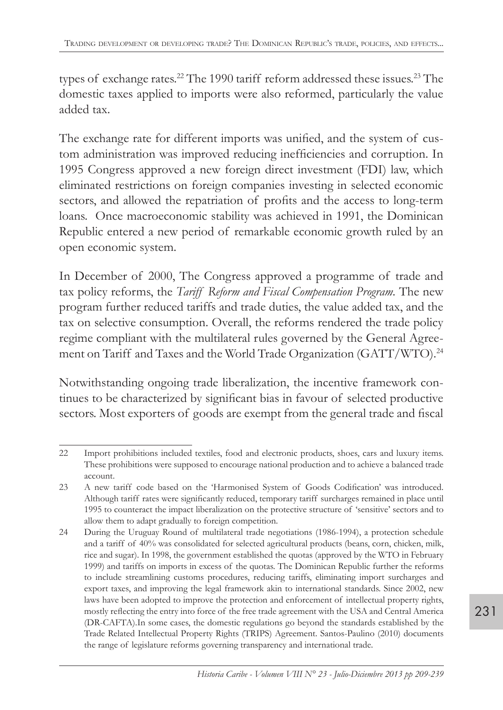types of exchange rates.<sup>22</sup> The 1990 tariff reform addressed these issues.<sup>23</sup> The domestic taxes applied to imports were also reformed, particularly the value added tax.

The exchange rate for different imports was unified, and the system of custom administration was improved reducing inefficiencies and corruption. In 1995 Congress approved a new foreign direct investment (FDI) law, which eliminated restrictions on foreign companies investing in selected economic sectors, and allowed the repatriation of profits and the access to long-term loans. Once macroeconomic stability was achieved in 1991, the Dominican Republic entered a new period of remarkable economic growth ruled by an open economic system.

In December of 2000, The Congress approved a programme of trade and tax policy reforms, the *Tariff Reform and Fiscal Compensation Program.* The new program further reduced tariffs and trade duties, the value added tax, and the tax on selective consumption. Overall, the reforms rendered the trade policy regime compliant with the multilateral rules governed by the General Agreement on Tariff and Taxes and the World Trade Organization (GATT/WTO).<sup>24</sup>

Notwithstanding ongoing trade liberalization, the incentive framework continues to be characterized by significant bias in favour of selected productive sectors. Most exporters of goods are exempt from the general trade and fiscal

<sup>22</sup> Import prohibitions included textiles, food and electronic products, shoes, cars and luxury items. These prohibitions were supposed to encourage national production and to achieve a balanced trade account.

<sup>23</sup> A new tariff code based on the 'Harmonised System of Goods Codification' was introduced. Although tariff rates were significantly reduced, temporary tariff surcharges remained in place until 1995 to counteract the impact liberalization on the protective structure of 'sensitive' sectors and to allow them to adapt gradually to foreign competition.

<sup>24</sup> During the Uruguay Round of multilateral trade negotiations (1986-1994), a protection schedule and a tariff of 40% was consolidated for selected agricultural products (beans, corn, chicken, milk, rice and sugar). In 1998, the government established the quotas (approved by the WTO in February 1999) and tariffs on imports in excess of the quotas. The Dominican Republic further the reforms to include streamlining customs procedures, reducing tariffs, eliminating import surcharges and export taxes, and improving the legal framework akin to international standards. Since 2002, new laws have been adopted to improve the protection and enforcement of intellectual property rights, mostly reflecting the entry into force of the free trade agreement with the USA and Central America (DR-CAFTA).In some cases, the domestic regulations go beyond the standards established by the Trade Related Intellectual Property Rights (TRIPS) Agreement. Santos-Paulino (2010) documents the range of legislature reforms governing transparency and international trade.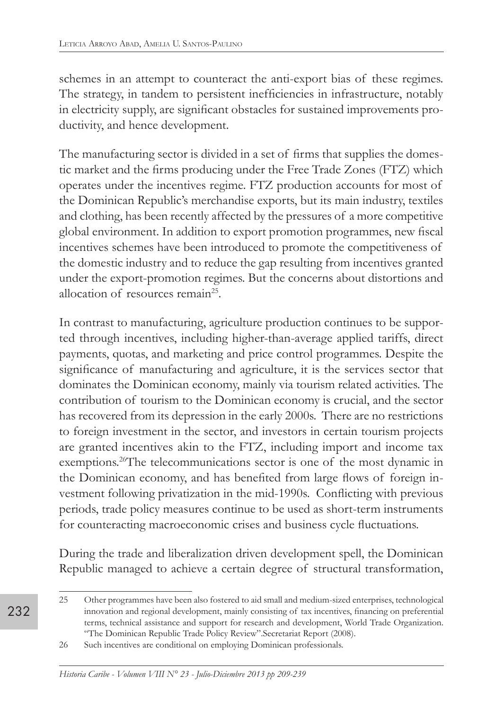schemes in an attempt to counteract the anti-export bias of these regimes. The strategy, in tandem to persistent inefficiencies in infrastructure, notably in electricity supply, are significant obstacles for sustained improvements productivity, and hence development.

The manufacturing sector is divided in a set of firms that supplies the domestic market and the firms producing under the Free Trade Zones (FTZ) which operates under the incentives regime. FTZ production accounts for most of the Dominican Republic's merchandise exports, but its main industry, textiles and clothing, has been recently affected by the pressures of a more competitive global environment. In addition to export promotion programmes, new fiscal incentives schemes have been introduced to promote the competitiveness of the domestic industry and to reduce the gap resulting from incentives granted under the export-promotion regimes. But the concerns about distortions and allocation of resources remain<sup>25</sup>.

In contrast to manufacturing, agriculture production continues to be supported through incentives, including higher-than-average applied tariffs, direct payments, quotas, and marketing and price control programmes. Despite the significance of manufacturing and agriculture, it is the services sector that dominates the Dominican economy, mainly via tourism related activities. The contribution of tourism to the Dominican economy is crucial, and the sector has recovered from its depression in the early 2000s. There are no restrictions to foreign investment in the sector, and investors in certain tourism projects are granted incentives akin to the FTZ, including import and income tax exemptions.<sup>26</sup>The telecommunications sector is one of the most dynamic in the Dominican economy, and has benefited from large flows of foreign investment following privatization in the mid-1990s. Conflicting with previous periods, trade policy measures continue to be used as short-term instruments for counteracting macroeconomic crises and business cycle fluctuations.

During the trade and liberalization driven development spell, the Dominican Republic managed to achieve a certain degree of structural transformation,

<sup>25</sup> Other programmes have been also fostered to aid small and medium-sized enterprises, technological innovation and regional development, mainly consisting of tax incentives, financing on preferential terms, technical assistance and support for research and development, World Trade Organization. "The Dominican Republic Trade Policy Review".Secretariat Report (2008).

<sup>26</sup> Such incentives are conditional on employing Dominican professionals.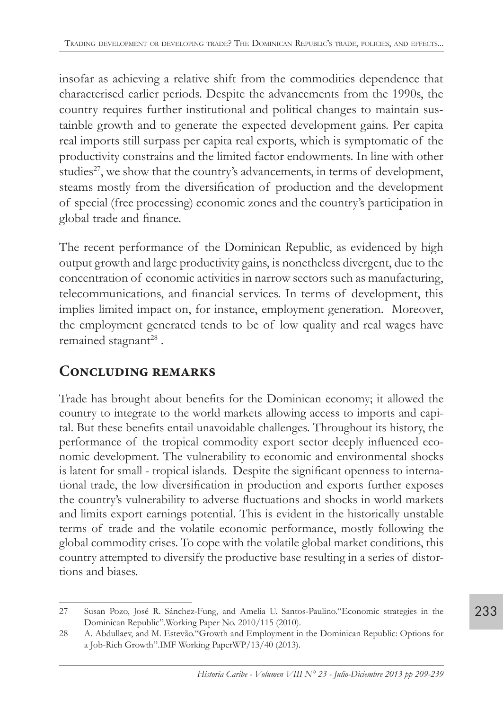insofar as achieving a relative shift from the commodities dependence that characterised earlier periods. Despite the advancements from the 1990s, the country requires further institutional and political changes to maintain sustainble growth and to generate the expected development gains. Per capita real imports still surpass per capita real exports, which is symptomatic of the productivity constrains and the limited factor endowments. In line with other studies<sup>27</sup>, we show that the country's advancements, in terms of development, steams mostly from the diversification of production and the development of special (free processing) economic zones and the country's participation in global trade and finance.

The recent performance of the Dominican Republic, as evidenced by high output growth and large productivity gains, is nonetheless divergent, due to the concentration of economic activities in narrow sectors such as manufacturing, telecommunications, and financial services. In terms of development, this implies limited impact on, for instance, employment generation. Moreover, the employment generated tends to be of low quality and real wages have remained stagnant<sup>28</sup>.

# **Concluding remarks**

Trade has brought about benefits for the Dominican economy; it allowed the country to integrate to the world markets allowing access to imports and capital. But these benefits entail unavoidable challenges. Throughout its history, the performance of the tropical commodity export sector deeply influenced economic development. The vulnerability to economic and environmental shocks is latent for small - tropical islands. Despite the significant openness to international trade, the low diversification in production and exports further exposes the country's vulnerability to adverse fluctuations and shocks in world markets and limits export earnings potential. This is evident in the historically unstable terms of trade and the volatile economic performance, mostly following the global commodity crises. To cope with the volatile global market conditions, this country attempted to diversify the productive base resulting in a series of distortions and biases.

233

<sup>27</sup> Susan Pozo, José R. Sánchez-Fung, and Amelia U. Santos-Paulino."Economic strategies in the Dominican Republic".Working Paper No. 2010/115 (2010).

<sup>28</sup> A. Abdullaev, and M. Estevão."Growth and Employment in the Dominican Republic: Options for a Job-Rich Growth".IMF Working PaperWP/13/40 (2013).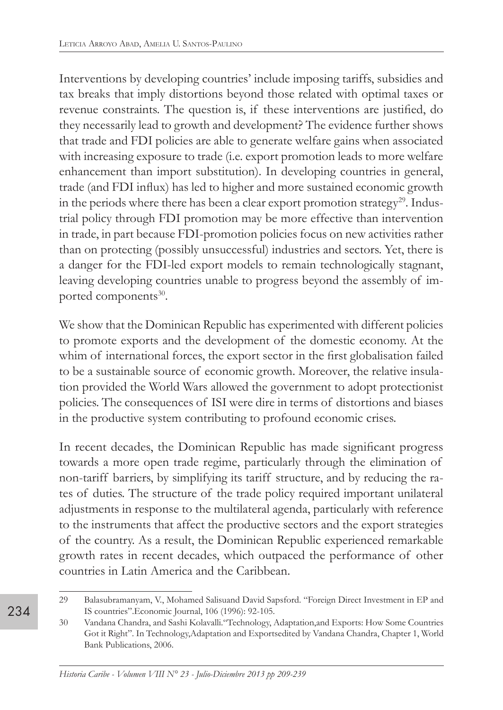Interventions by developing countries' include imposing tariffs, subsidies and tax breaks that imply distortions beyond those related with optimal taxes or revenue constraints. The question is, if these interventions are justified, do they necessarily lead to growth and development? The evidence further shows that trade and FDI policies are able to generate welfare gains when associated with increasing exposure to trade (i.e. export promotion leads to more welfare enhancement than import substitution). In developing countries in general, trade (and FDI influx) has led to higher and more sustained economic growth in the periods where there has been a clear export promotion strategy<sup>29</sup>. Industrial policy through FDI promotion may be more effective than intervention in trade, in part because FDI-promotion policies focus on new activities rather than on protecting (possibly unsuccessful) industries and sectors. Yet, there is a danger for the FDI-led export models to remain technologically stagnant, leaving developing countries unable to progress beyond the assembly of imported components<sup>30</sup>.

We show that the Dominican Republic has experimented with different policies to promote exports and the development of the domestic economy. At the whim of international forces, the export sector in the first globalisation failed to be a sustainable source of economic growth. Moreover, the relative insulation provided the World Wars allowed the government to adopt protectionist policies. The consequences of ISI were dire in terms of distortions and biases in the productive system contributing to profound economic crises.

In recent decades, the Dominican Republic has made significant progress towards a more open trade regime, particularly through the elimination of non-tariff barriers, by simplifying its tariff structure, and by reducing the rates of duties. The structure of the trade policy required important unilateral adjustments in response to the multilateral agenda, particularly with reference to the instruments that affect the productive sectors and the export strategies of the country. As a result, the Dominican Republic experienced remarkable growth rates in recent decades, which outpaced the performance of other countries in Latin America and the Caribbean.

<sup>29</sup> Balasubramanyam, V., Mohamed Salisuand David Sapsford. "Foreign Direct Investment in EP and IS countries".Economic Journal, 106 (1996): 92-105.

<sup>30</sup> Vandana Chandra, and Sashi Kolavalli."Technology, Adaptation,and Exports: How Some Countries Got it Right". In Technology,Adaptation and Exportsedited by Vandana Chandra, Chapter 1, World Bank Publications, 2006.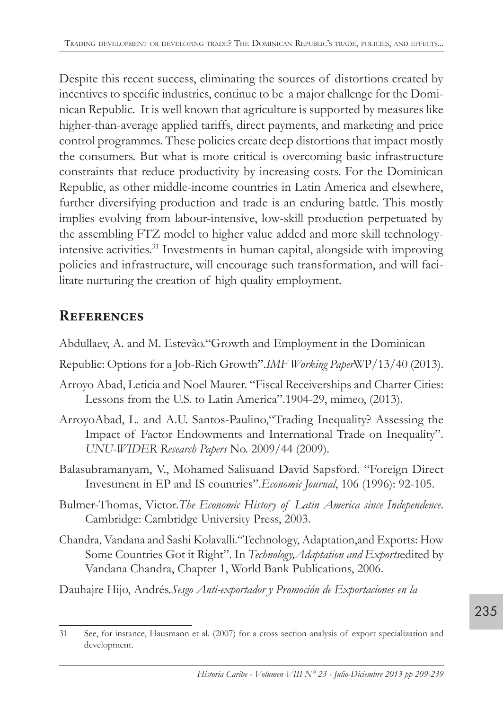Despite this recent success, eliminating the sources of distortions created by incentives to specific industries, continue to be a major challenge for the Dominican Republic. It is well known that agriculture is supported by measures like higher-than-average applied tariffs, direct payments, and marketing and price control programmes. These policies create deep distortions that impact mostly the consumers. But what is more critical is overcoming basic infrastructure constraints that reduce productivity by increasing costs. For the Dominican Republic, as other middle-income countries in Latin America and elsewhere, further diversifying production and trade is an enduring battle. This mostly implies evolving from labour-intensive, low-skill production perpetuated by the assembling FTZ model to higher value added and more skill technologyintensive activities.31 Investments in human capital, alongside with improving policies and infrastructure, will encourage such transformation, and will facilitate nurturing the creation of high quality employment.

# **References**

- Abdullaev, A. and M. Estevão."Growth and Employment in the Dominican
- Republic: Options for a Job-Rich Growth".*IMF Working Paper*WP/13/40 (2013).
- Arroyo Abad, Leticia and Noel Maurer. "Fiscal Receiverships and Charter Cities: Lessons from the U.S. to Latin America".1904-29, mimeo, (2013).
- ArroyoAbad, L. and A.U. Santos-Paulino,"Trading Inequality? Assessing the Impact of Factor Endowments and International Trade on Inequality". *UNU-WIDER Research Papers* No. 2009/44 (2009).
- Balasubramanyam, V., Mohamed Salisuand David Sapsford. "Foreign Direct Investment in EP and IS countries".*Economic Journal*, 106 (1996): 92-105.
- Bulmer-Thomas, Victor.*The Economic History of Latin America since Independence*. Cambridge: Cambridge University Press, 2003.
- Chandra, Vandana and Sashi Kolavalli."Technology, Adaptation,and Exports: How Some Countries Got it Right". In *Technology,Adaptation and Exports*edited by Vandana Chandra, Chapter 1, World Bank Publications, 2006.

Dauhajre Hijo, Andrés.*Sesgo Anti-exportador y Promoción de Exportaciones en la*

<sup>31</sup> See, for instance, Hausmann et al. (2007) for a cross section analysis of export specialization and development.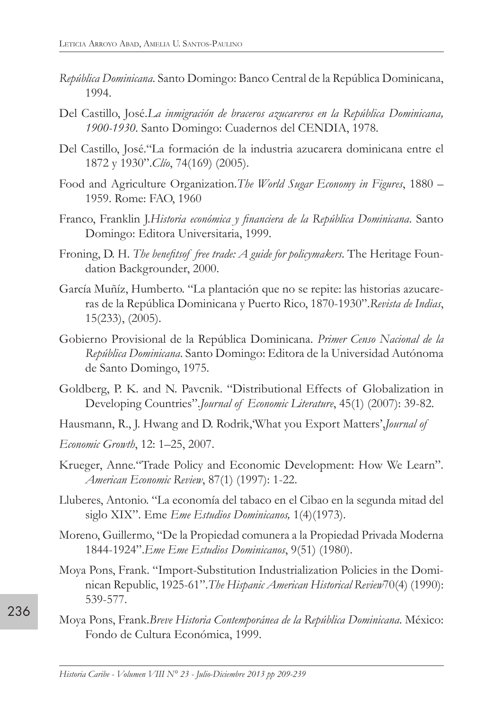- *República Dominicana*. Santo Domingo: Banco Central de la República Dominicana, 1994.
- Del Castillo, José.*La inmigración de braceros azucareros en la República Dominicana, 1900-1930*. Santo Domingo: Cuadernos del CENDIA, 1978.
- Del Castillo, José."La formación de la industria azucarera dominicana entre el 1872 y 1930".*Clío*, 74(169) (2005).
- Food and Agriculture Organization.*The World Sugar Economy in Figures*, 1880 1959. Rome: FAO, 1960
- Franco, Franklin J.*Historia económica y financiera de la República Dominicana*. Santo Domingo: Editora Universitaria, 1999.
- Froning, D. H. *The benefitsof free trade: A guide for policymakers*. The Heritage Foundation Backgrounder, 2000.
- García Muñíz, Humberto. "La plantación que no se repite: las historias azucareras de la República Dominicana y Puerto Rico, 1870-1930".*Revista de Indias*, 15(233), (2005).
- Gobierno Provisional de la República Dominicana. *Primer Censo Nacional de la República Dominicana*. Santo Domingo: Editora de la Universidad Autónoma de Santo Domingo, 1975.
- Goldberg, P. K. and N. Pavcnik. "Distributional Effects of Globalization in Developing Countries".*Journal of Economic Literature*, 45(1) (2007): 39-82.
- Hausmann, R., J. Hwang and D. Rodrik,'What you Export Matters',*Journal of*
- *Economic Growth*, 12: 1–25, 2007.
- Krueger, Anne."Trade Policy and Economic Development: How We Learn". *American Economic Review*, 87(1) (1997): 1-22.
- Lluberes, Antonio. "La economía del tabaco en el Cibao en la segunda mitad del siglo XIX". Eme *Eme Estudios Dominicanos,* 1(4)(1973).
- Moreno, Guillermo, "De la Propiedad comunera a la Propiedad Privada Moderna 1844-1924".*Eme Eme Estudios Dominicanos*, 9(51) (1980).
- Moya Pons, Frank. "Import-Substitution Industrialization Policies in the Dominican Republic, 1925-61".*The Hispanic American Historical Review*70(4) (1990): 539-577.
- Moya Pons, Frank.*Breve Historia Contemporánea de la República Dominicana*. México: Fondo de Cultura Económica, 1999.

236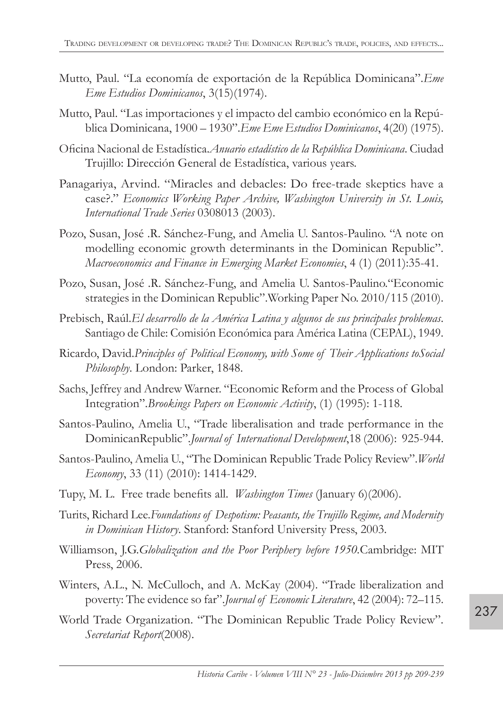- Mutto, Paul. "La economía de exportación de la República Dominicana".*Eme Eme Estudios Dominicanos*, 3(15)(1974).
- Mutto, Paul. "Las importaciones y el impacto del cambio económico en la República Dominicana, 1900 – 1930".*Eme Eme Estudios Dominicanos*, 4(20) (1975).
- Oficina Nacional de Estadística.*Anuario estadístico de la República Dominicana*. Ciudad Trujillo: Dirección General de Estadística, various years.
- Panagariya, Arvind. "Miracles and debacles: Do free-trade skeptics have a case?." *Economics Working Paper Archive, Washington University in St. Louis, International Trade Series* 0308013 (2003).
- Pozo, Susan, José .R. Sánchez-Fung, and Amelia U. Santos-Paulino. "A note on modelling economic growth determinants in the Dominican Republic". *Macroeconomics and Finance in Emerging Market Economies*, 4 (1) (2011):35-41.
- Pozo, Susan, José .R. Sánchez-Fung, and Amelia U. Santos-Paulino."Economic strategies in the Dominican Republic".Working Paper No. 2010/115 (2010).
- Prebisch, Raúl.*El desarrollo de la América Latina y algunos de sus principales problemas*. Santiago de Chile: Comisión Económica para América Latina (CEPAL), 1949.
- Ricardo, David.*Principles of Political Economy, with Some of Their Applications toSocial Philosophy*. London: Parker, 1848.
- Sachs, Jeffrey and Andrew Warner. "Economic Reform and the Process of Global Integration".*Brookings Papers on Economic Activity*, (1) (1995): 1-118.
- Santos-Paulino, Amelia U., "Trade liberalisation and trade performance in the DominicanRepublic".*Journal of International Development*,18 (2006): 925-944.
- Santos-Paulino, Amelia U., "The Dominican Republic Trade Policy Review".*World Economy*, 33 (11) (2010): 1414-1429.
- Tupy, M. L. Free trade benefits all. *Washington Times* (January 6)(2006).
- Turits, Richard Lee.*Foundations of Despotism: Peasants, the Trujillo Regime, and Modernity in Dominican History*. Stanford: Stanford University Press, 2003.
- Williamson, J.G.*Globalization and the Poor Periphery before 1950.*Cambridge: MIT Press, 2006.
- Winters, A.L., N. McCulloch, and A. McKay (2004). "Trade liberalization and poverty: The evidence so far".*Journal of Economic Literature*, 42 (2004): 72–115.
- World Trade Organization. "The Dominican Republic Trade Policy Review". *Secretariat Report*(2008).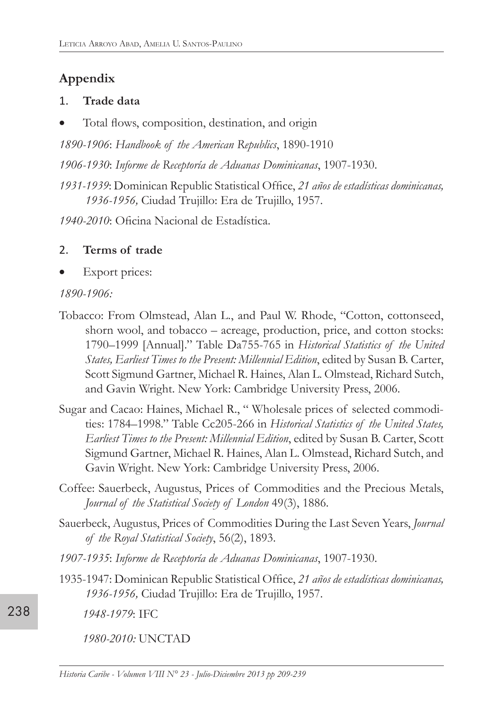# **Appendix**

#### 1. **Trade data**

Total flows, composition, destination, and origin

*1890-1906*: *Handbook of the American Republics*, 1890-1910

*1906-1930*: *Informe de Receptoría de Aduanas Dominicanas*, 1907-1930.

*1931-1939*: Dominican Republic Statistical Office, *21 años de estadísticas dominicanas, 1936-1956,* Ciudad Trujillo: Era de Trujillo, 1957.

*1940-2010*: Oficina Nacional de Estadística.

## 2. **Terms of trade**

Export prices:

#### *1890-1906:*

- Tobacco: From Olmstead, Alan L., and Paul W. Rhode, "Cotton, cottonseed, shorn wool, and tobacco – acreage, production, price, and cotton stocks: 1790–1999 [Annual]." Table Da755-765 in *Historical Statistics of the United States, Earliest Times to the Present: Millennial Edition*, edited by Susan B. Carter, Scott Sigmund Gartner, Michael R. Haines, Alan L. Olmstead, Richard Sutch, and Gavin Wright. New York: Cambridge University Press, 2006.
- Sugar and Cacao: Haines, Michael R., " Wholesale prices of selected commodities: 1784–1998." Table Cc205-266 in *Historical Statistics of the United States, Earliest Times to the Present: Millennial Edition*, edited by Susan B. Carter, Scott Sigmund Gartner, Michael R. Haines, Alan L. Olmstead, Richard Sutch, and Gavin Wright. New York: Cambridge University Press, 2006.
- Coffee: Sauerbeck, Augustus, Prices of Commodities and the Precious Metals, *Journal of the Statistical Society of London* 49(3), 1886.
- Sauerbeck, Augustus, Prices of Commodities During the Last Seven Years, *Journal of the Royal Statistical Society*, 56(2), 1893.
- *1907-1935*: *Informe de Receptoría de Aduanas Dominicanas*, 1907-1930.
- 1935-1947: Dominican Republic Statistical Office, *21 años de estadísticas dominicanas, 1936-1956,* Ciudad Trujillo: Era de Trujillo, 1957.
	- *1948-1979*: IFC

*1980-2010:* UNCTAD